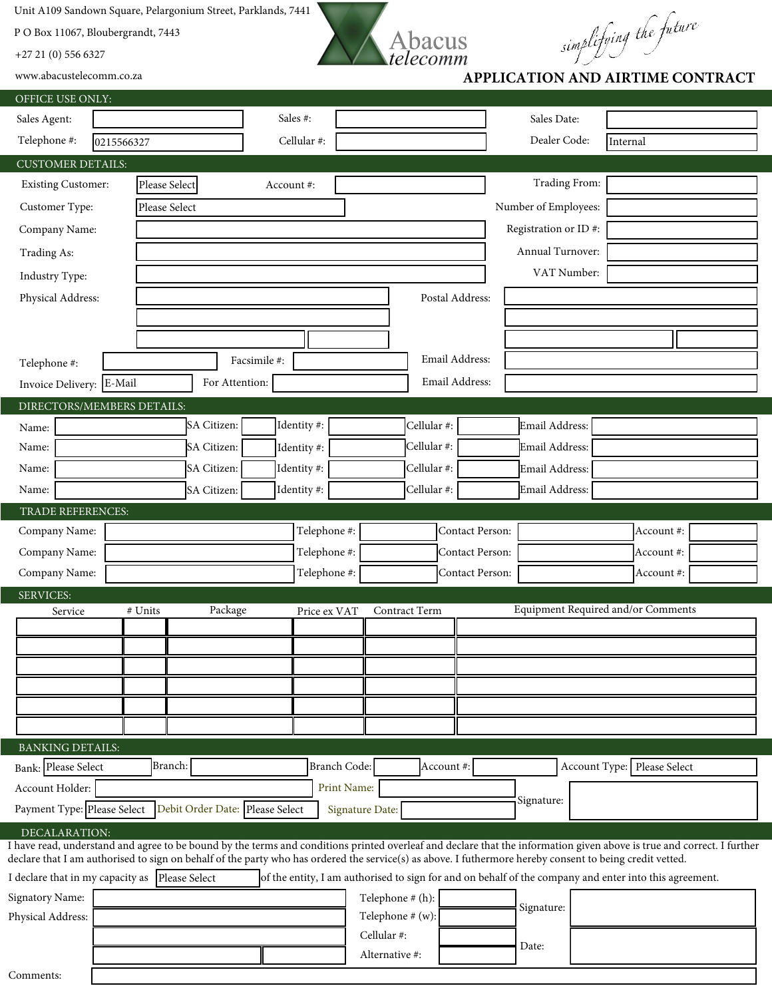Unit A109 Sandown Square, Pelargonium Street, Parklands, 7441

P O Box 11067, Bloubergrandt, 7443

+27 21 (0) 556 6327



S<br> *APPLICATION AND AIRTIME CONTRACT* 

www.abacustelecomm.co.za

| OFFICE USE ONLY:                                                                                                                                                                                                                                                                                                                   |                                 |              |                  |                                    |                             |
|------------------------------------------------------------------------------------------------------------------------------------------------------------------------------------------------------------------------------------------------------------------------------------------------------------------------------------|---------------------------------|--------------|------------------|------------------------------------|-----------------------------|
| Sales Agent:                                                                                                                                                                                                                                                                                                                       |                                 | Sales #:     |                  | Sales Date:                        |                             |
| Telephone #:<br>0215566327                                                                                                                                                                                                                                                                                                         |                                 | Cellular #:  |                  | Dealer Code:                       | Internal                    |
| <b>CUSTOMER DETAILS:</b>                                                                                                                                                                                                                                                                                                           |                                 |              |                  |                                    |                             |
| <b>Existing Customer:</b>                                                                                                                                                                                                                                                                                                          | Please Select                   | Account #:   |                  | Trading From:                      |                             |
| Customer Type:                                                                                                                                                                                                                                                                                                                     | Please Select                   |              |                  | Number of Employees:               |                             |
| Company Name:                                                                                                                                                                                                                                                                                                                      |                                 |              |                  | Registration or ID#:               |                             |
| Trading As:                                                                                                                                                                                                                                                                                                                        |                                 |              |                  | Annual Turnover:                   |                             |
| Industry Type:                                                                                                                                                                                                                                                                                                                     |                                 |              |                  | VAT Number:                        |                             |
| Physical Address:                                                                                                                                                                                                                                                                                                                  |                                 |              | Postal Address:  |                                    |                             |
|                                                                                                                                                                                                                                                                                                                                    |                                 |              |                  |                                    |                             |
|                                                                                                                                                                                                                                                                                                                                    |                                 |              |                  |                                    |                             |
| Telephone #:                                                                                                                                                                                                                                                                                                                       |                                 | Facsimile #: | Email Address:   |                                    |                             |
| Invoice Delivery: E-Mail                                                                                                                                                                                                                                                                                                           | For Attention:                  |              | Email Address:   |                                    |                             |
| DIRECTORS/MEMBERS DETAILS:                                                                                                                                                                                                                                                                                                         |                                 |              |                  |                                    |                             |
| Name:                                                                                                                                                                                                                                                                                                                              | SA Citizen:                     | Identity#:   | Cellular #:      | Email Address:                     |                             |
| Name:                                                                                                                                                                                                                                                                                                                              | SA Citizen:                     | Identity#:   | Cellular #:      | Email Address:                     |                             |
| Name:                                                                                                                                                                                                                                                                                                                              | SA Citizen:                     | Identity #:  | Cellular #:      | Email Address:                     |                             |
| Name:                                                                                                                                                                                                                                                                                                                              | SA Citizen:                     | Identity #:  | Cellular #:      | Email Address:                     |                             |
| TRADE REFERENCES:                                                                                                                                                                                                                                                                                                                  |                                 |              |                  |                                    |                             |
| Company Name:                                                                                                                                                                                                                                                                                                                      |                                 | Telephone #: | Contact Person:  |                                    | Account #:                  |
| Company Name:                                                                                                                                                                                                                                                                                                                      |                                 | Telephone #: | Contact Person:  |                                    | Account #:                  |
| Company Name:                                                                                                                                                                                                                                                                                                                      |                                 | Telephone #: | Contact Person:  |                                    | Account #:                  |
| <b>SERVICES:</b>                                                                                                                                                                                                                                                                                                                   |                                 |              |                  |                                    |                             |
| Service                                                                                                                                                                                                                                                                                                                            | Package<br># Units              | Price ex VAT | Contract Term    | Equipment Required and/or Comments |                             |
|                                                                                                                                                                                                                                                                                                                                    |                                 |              |                  |                                    |                             |
|                                                                                                                                                                                                                                                                                                                                    |                                 |              |                  |                                    |                             |
|                                                                                                                                                                                                                                                                                                                                    |                                 |              |                  |                                    |                             |
|                                                                                                                                                                                                                                                                                                                                    |                                 |              |                  |                                    |                             |
|                                                                                                                                                                                                                                                                                                                                    |                                 |              |                  |                                    |                             |
| <b>BANKING DETAILS:</b>                                                                                                                                                                                                                                                                                                            |                                 |              |                  |                                    |                             |
| Bank: Please Select                                                                                                                                                                                                                                                                                                                | Branch:                         | Branch Code: | Account #:       |                                    | Account Type: Please Select |
| Account Holder:                                                                                                                                                                                                                                                                                                                    |                                 | Print Name:  |                  |                                    |                             |
| Payment Type: Please Select                                                                                                                                                                                                                                                                                                        | Debit Order Date: Please Select |              | Signature Date:  | Signature:                         |                             |
| DECALARATION:                                                                                                                                                                                                                                                                                                                      |                                 |              |                  |                                    |                             |
| I have read, understand and agree to be bound by the terms and conditions printed overleaf and declare that the information given above is true and correct. I further<br>declare that I am authorised to sign on behalf of the party who has ordered the service(s) as above. I futhermore hereby consent to being credit vetted. |                                 |              |                  |                                    |                             |
| I declare that in my capacity as Please Select<br>of the entity, I am authorised to sign for and on behalf of the company and enter into this agreement.                                                                                                                                                                           |                                 |              |                  |                                    |                             |
| Signatory Name:                                                                                                                                                                                                                                                                                                                    |                                 |              | Telephone # (h): | Signature:                         |                             |
| Physical Address:                                                                                                                                                                                                                                                                                                                  |                                 |              | Telephone # (w): |                                    |                             |
|                                                                                                                                                                                                                                                                                                                                    |                                 |              | Cellular #:      | Date:                              |                             |
|                                                                                                                                                                                                                                                                                                                                    |                                 |              | Alternative #:   |                                    |                             |